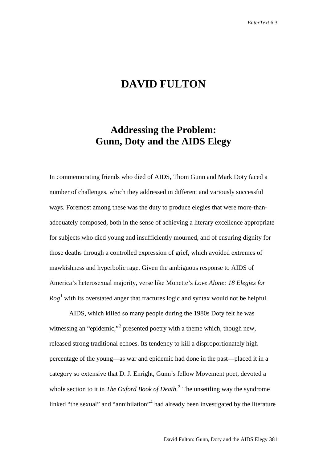## **DAVID FULTON**

## **Addressing the Problem: Gunn, Doty and the AIDS Elegy**

In commemorating friends who died of AIDS, Thom Gunn and Mark Doty faced a number of challenges, which they addressed in different and variously successful ways. Foremost among these was the duty to produce elegies that were more-thanadequately composed, both in the sense of achieving a literary excellence appropriate for subjects who died young and insufficiently mourned, and of ensuring dignity for those deaths through a controlled expression of grief, which avoided extremes of mawkishness and hyperbolic rage. Given the ambiguous response to AIDS of America's heterosexual majority, verse like Monette's *Love Alone: 18 Elegies for*   $Rog<sup>1</sup>$  $Rog<sup>1</sup>$  $Rog<sup>1</sup>$  with its overstated anger that fractures logic and syntax would not be helpful.

AIDS, which killed so many people during the 1980s Doty felt he was witnessing an "epidemic,"<sup>[2](#page-31-1)</sup> presented poetry with a theme which, though new, released strong traditional echoes. Its tendency to kill a disproportionately high percentage of the young—as war and epidemic had done in the past—placed it in a category so extensive that D. J. Enright, Gunn's fellow Movement poet, devoted a whole section to it in *The Oxford Book of Death*. [3](#page-31-2) The unsettling way the syndrome linked "the sexual" and "annihilation"<sup>[4](#page-31-3)</sup> had already been investigated by the literature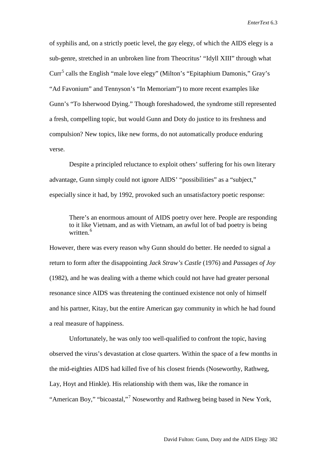of syphilis and, on a strictly poetic level, the gay elegy, of which the AIDS elegy is a sub-genre, stretched in an unbroken line from Theocritus' "Idyll XIII" through what  $Cur<sup>5</sup>$  $Cur<sup>5</sup>$  $Cur<sup>5</sup>$  calls the English "male love elegy" (Milton's "Epitaphium Damonis," Gray's "Ad Favonium" and Tennyson's "In Memoriam") to more recent examples like Gunn's "To Isherwood Dying." Though foreshadowed, the syndrome still represented a fresh, compelling topic, but would Gunn and Doty do justice to its freshness and compulsion? New topics, like new forms, do not automatically produce enduring verse.

Despite a principled reluctance to exploit others' suffering for his own literary advantage, Gunn simply could not ignore AIDS' "possibilities" as a "subject," especially since it had, by 1992, provoked such an unsatisfactory poetic response:

There's an enormous amount of AIDS poetry over here. People are responding to it like Vietnam, and as with Vietnam, an awful lot of bad poetry is being written.<sup>[6](#page-32-1)</sup>

However, there was every reason why Gunn should do better. He needed to signal a return to form after the disappointing *Jack Straw's Castle* (1976) and *Passages of Joy* (1982), and he was dealing with a theme which could not have had greater personal resonance since AIDS was threatening the continued existence not only of himself and his partner, Kitay, but the entire American gay community in which he had found a real measure of happiness.

Unfortunately, he was only too well-qualified to confront the topic, having observed the virus's devastation at close quarters. Within the space of a few months in the mid-eighties AIDS had killed five of his closest friends (Noseworthy, Rathweg, Lay, Hoyt and Hinkle). His relationship with them was, like the romance in "American Boy," "bicoastal,"<sup>[7](#page-32-2)</sup> Noseworthy and Rathweg being based in New York,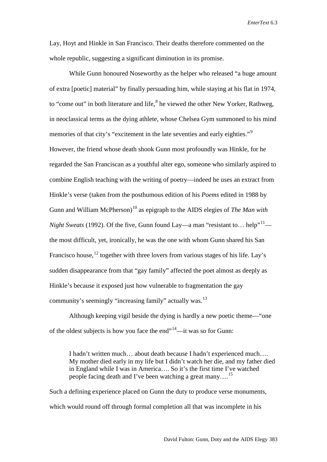Lay, Hoyt and Hinkle in San Francisco. Their deaths therefore commented on the whole republic, suggesting a significant diminution in its promise.

While Gunn honoured Noseworthy as the helper who released "a huge amount of extra [poetic] material" by finally persuading him, while staying at his flat in 1974, to "come out" in both literature and life, <sup>[8](#page-33-0)</sup> he viewed the other New Yorker, Rathweg, in neoclassical terms as the dying athlete, whose Chelsea Gym summoned to his mind memories of that city's "excitement in the late seventies and early eighties."<sup>[9](#page-33-1)</sup> However, the friend whose death shook Gunn most profoundly was Hinkle, for he regarded the San Franciscan as a youthful alter ego, someone who similarly aspired to combine English teaching with the writing of poetry—indeed he uses an extract from Hinkle's verse (taken from the posthumous edition of his *Poems* edited in 1988 by Gunn and William McPherson) [10](#page-33-2) as epigraph to the AIDS elegies of *The Man with Night Sweats* (1992). Of the five, Gunn found Lay—a man "resistant to... help"<sup>11</sup> the most difficult, yet, ironically, he was the one with whom Gunn shared his San Francisco house,<sup>[12](#page-33-4)</sup> together with three lovers from various stages of his life. Lay's sudden disappearance from that "gay family" affected the poet almost as deeply as Hinkle's because it exposed just how vulnerable to fragmentation the gay community's seemingly "increasing family" actually was.<sup>[13](#page-33-5)</sup>

Although keeping vigil beside the dying is hardly a new poetic theme—"one of the oldest subjects is how you face the end $14$ —it was so for Gunn:

I hadn't written much… about death because I hadn't experienced much…. My mother died early in my life but I didn't watch her die, and my father died in England while I was in America…. So it's the first time I've watched people facing death and I've been watching a great many….[15](#page-33-7)

Such a defining experience placed on Gunn the duty to produce verse monuments, which would round off through formal completion all that was incomplete in his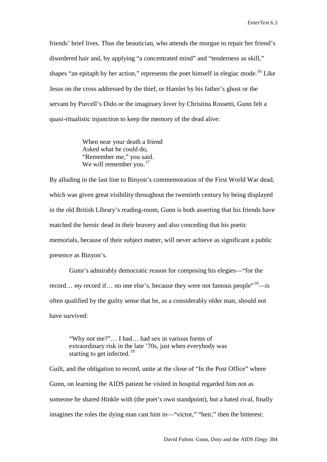friends' brief lives. Thus the beautician, who attends the morgue to repair her friend's disordered hair and, by applying "a concentrated mind" and "tenderness as skill," shapes "an epitaph by her action," represents the poet himself in elegiac mode.<sup>[16](#page-34-0)</sup> Like Jesus on the cross addressed by the thief, or Hamlet by his father's ghost or the servant by Purcell's Dido or the imaginary lover by Christina Rossetti, Gunn felt a quasi-ritualistic injunction to keep the memory of the dead alive:

> When near your death a friend Asked what he could do, "Remember me," you said. We will remember you. $17$

By alluding in the last line to Binyon's commemoration of the First World War dead, which was given great visibility throughout the twentieth century by being displayed in the old British Library's reading-room, Gunn is both asserting that his friends have matched the heroic dead in their bravery and also conceding that his poetic memorials, because of their subject matter, will never achieve as significant a public presence as Binyon's.

Gunn's admirably democratic reason for composing his elegies—"for the record… *my* record if… no one else's, because they were not famous people<sup>"18</sup>—is often qualified by the guilty sense that he, as a considerably older man, should not have survived:

"Why not me?"… I had… had sex in various forms of extraordinary risk in the late '70s, just when everybody was starting to get infected.<sup>[19](#page-34-3)</sup>

Guilt, and the obligation to record, unite at the close of "In the Post Office" where Gunn, on learning the AIDS patient he visited in hospital regarded him not as someone he shared Hinkle with (the poet's own standpoint), but a hated rival, finally imagines the roles the dying man cast him in—"victor," "heir," then the bitterest: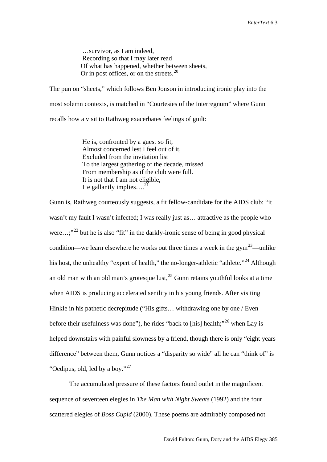…survivor, as I am indeed, Recording so that I may later read Of what has happened, whether between sheets, Or in post offices, or on the streets. $^{20}$  $^{20}$  $^{20}$ 

The pun on "sheets," which follows Ben Jonson in introducing ironic play into the most solemn contexts, is matched in "Courtesies of the Interregnum" where Gunn recalls how a visit to Rathweg exacerbates feelings of guilt:

> He is, confronted by a guest so fit, Almost concerned lest I feel out of it, Excluded from the invitation list To the largest gathering of the decade, missed From membership as if the club were full. It is not that I am not eligible, He gallantly implies... $^{21}$  $^{21}$  $^{21}$

Gunn is, Rathweg courteously suggests, a fit fellow-candidate for the AIDS club: "it wasn't my fault I wasn't infected; I was really just as… attractive as the people who were...;"<sup>[22](#page-35-2)</sup> but he is also "fit" in the darkly-ironic sense of being in good physical condition—we learn elsewhere he works out three times a week in the gym<sup>23</sup>—unlike his host, the unhealthy "expert of health," the no-longer-athletic "athlete."<sup>[24](#page-35-4)</sup> Although an old man with an old man's grotesque lust, $^{25}$  $^{25}$  $^{25}$  Gunn retains youthful looks at a time when AIDS is producing accelerated senility in his young friends. After visiting Hinkle in his pathetic decrepitude ("His gifts... withdrawing one by one / Even before their usefulness was done"), he rides "back to [his] health;"<sup>[26](#page-35-6)</sup> when Lay is helped downstairs with painful slowness by a friend, though there is only "eight years difference" between them, Gunn notices a "disparity so wide" all he can "think of" is "Oedipus, old, led by a boy."<sup>27</sup>

The accumulated pressure of these factors found outlet in the magnificent sequence of seventeen elegies in *The Man with Night Sweats* (1992) and the four scattered elegies of *Boss Cupid* (2000). These poems are admirably composed not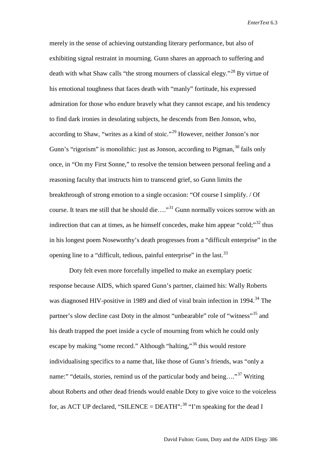merely in the sense of achieving outstanding literary performance, but also of exhibiting signal restraint in mourning. Gunn shares an approach to suffering and death with what Shaw calls "the strong mourners of classical elegy."<sup>[28](#page-35-8)</sup> By virtue of his emotional toughness that faces death with "manly" fortitude, his expressed admiration for those who endure bravely what they cannot escape, and his tendency to find dark ironies in desolating subjects, he descends from Ben Jonson, who, according to Shaw, "writes as a kind of stoic."[29](#page-35-9) However, neither Jonson's nor Gunn's "rigorism" is monolithic: just as Jonson, according to Pigman,  $30$  fails only once, in "On my First Sonne," to resolve the tension between personal feeling and a reasoning faculty that instructs him to transcend grief, so Gunn limits the breakthrough of strong emotion to a single occasion: "Of course I simplify. / Of course. It tears me still that he should die…."[31](#page-35-11) Gunn normally voices sorrow with an indirection that can at times, as he himself concedes, make him appear "cold;" $32$  thus in his longest poem Noseworthy's death progresses from a "difficult enterprise" in the opening line to a "difficult, tedious, painful enterprise" in the last.<sup>[33](#page-35-13)</sup>

Doty felt even more forcefully impelled to make an exemplary poetic response because AIDS, which spared Gunn's partner, claimed his: Wally Roberts was diagnosed HIV-positive in 1989 and died of viral brain infection in 1994.<sup>[34](#page-35-14)</sup> The partner's slow decline cast Doty in the almost "unbearable" role of "witness"<sup>[35](#page-35-15)</sup> and his death trapped the poet inside a cycle of mourning from which he could only escape by making "some record." Although "halting,"[36](#page-35-16) this would restore individualising specifics to a name that, like those of Gunn's friends, was "only a name:" "details, stories, remind us of the particular body and being...."<sup>[37](#page-35-17)</sup> Writing about Roberts and other dead friends would enable Doty to give voice to the voiceless for, as ACT UP declared, "SILENCE = DEATH":  $38$  "I'm speaking for the dead I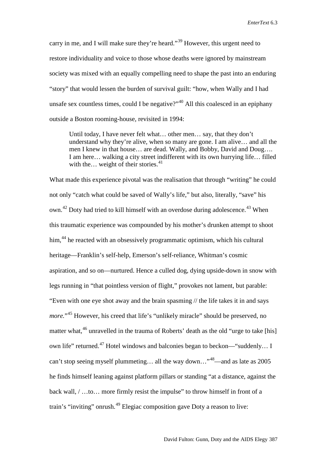carry in me, and I will make sure they're heard."[39](#page-35-19) However, this urgent need to restore individuality and voice to those whose deaths were ignored by mainstream society was mixed with an equally compelling need to shape the past into an enduring "story" that would lessen the burden of survival guilt: "how, when Wally and I had unsafe sex countless times, could I be negative?" $40$  All this coalesced in an epiphany outside a Boston rooming-house, revisited in 1994:

Until today, I have never felt what… other men… say, that they don't understand why they're alive, when so many are gone. I am alive… and all the men I knew in that house… are dead. Wally, and Bobby, David and Doug…. I am here… walking a city street indifferent with its own hurrying life… filled with the… weight of their stories. $41$ 

What made this experience pivotal was the realisation that through "writing" he could not only "catch what could be saved of Wally's life," but also, literally, "save" his own.<sup>[42](#page-35-22)</sup> Doty had tried to kill himself with an overdose during adolescence.<sup>[43](#page-35-23)</sup> When this traumatic experience was compounded by his mother's drunken attempt to shoot him,<sup>[44](#page-35-24)</sup> he reacted with an obsessively programmatic optimism, which his cultural heritage—Franklin's self-help, Emerson's self-reliance, Whitman's cosmic aspiration, and so on—nurtured. Hence a culled dog, dying upside-down in snow with legs running in "that pointless version of flight," provokes not lament, but parable: "Even with one eye shot away and the brain spasming // the life takes it in and says *more.*"<sup>[45](#page-35-25)</sup> However, his creed that life's "unlikely miracle" should be preserved, no matter what,<sup>[46](#page-35-26)</sup> unravelled in the trauma of Roberts' death as the old "urge to take [his] own life" returned.<sup>[47](#page-35-27)</sup> Hotel windows and balconies began to beckon—"suddenly... I can't stop seeing myself plummeting... all the way down..."<sup>48</sup>—and as late as 2005 he finds himself leaning against platform pillars or standing "at a distance, against the back wall, / …to… more firmly resist the impulse" to throw himself in front of a train's "inviting" onrush.<sup>[49](#page-35-29)</sup> Elegiac composition gave Doty a reason to live: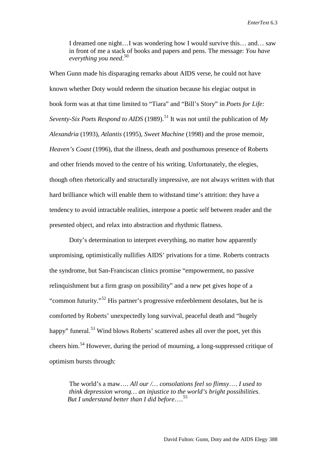I dreamed one night…I was wondering how I would survive this… and… saw in front of me a stack of books and papers and pens. The message: *You have everything you need*. [50](#page-35-30)

When Gunn made his disparaging remarks about AIDS verse, he could not have known whether Doty would redeem the situation because his elegiac output in book form was at that time limited to "Tiara" and "Bill's Story" in *Poets for Life: Seventy-Six Poets Respond to AIDS* (1989).<sup>[51](#page-35-31)</sup> It was not until the publication of  $My$ *Alexandria* (1993), *Atlantis* (1995), *Sweet Machine* (1998) and the prose memoir, *Heaven's Coast* (1996), that the illness, death and posthumous presence of Roberts and other friends moved to the centre of his writing. Unfortunately, the elegies, though often rhetorically and structurally impressive, are not always written with that hard brilliance which will enable them to withstand time's attrition: they have a tendency to avoid intractable realities, interpose a poetic self between reader and the presented object, and relax into abstraction and rhythmic flatness.

Doty's determination to interpret everything, no matter how apparently unpromising, optimistically nullifies AIDS' privations for a time. Roberts contracts the syndrome, but San-Franciscan clinics promise "empowerment, no passive relinquishment but a firm grasp on possibility" and a new pet gives hope of a "common futurity."<sup>[52](#page-35-32)</sup> His partner's progressive enfeeblement desolates, but he is comforted by Roberts' unexpectedly long survival, peaceful death and "hugely happy" funeral.<sup>[53](#page-35-33)</sup> Wind blows Roberts' scattered ashes all over the poet, yet this cheers him. [54](#page-35-34) However, during the period of mourning, a long-suppressed critique of optimism bursts through:

The world's a maw…. *All our /… consolations feel so flimsy*…. *I used to think depression wrong… an injustice to the world's bright possibilities. But I understand better than I did before*….[55](#page-35-35)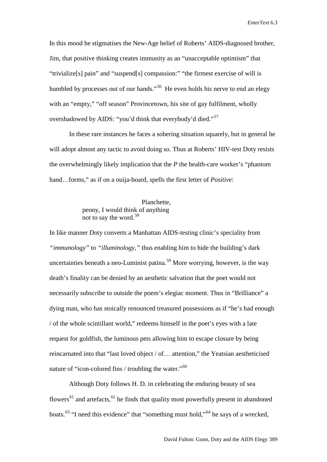In this mood he stigmatises the New-Age belief of Roberts' AIDS-diagnosed brother, Jim, that positive thinking creates immunity as an "unacceptable optimism" that "trivialize[s] pain" and "suspend[s] compassion:" "the firmest exercise of will is humbled by processes out of our hands."<sup>[56](#page-35-36)</sup> He even holds his nerve to end an elegy with an "empty," "off season" Provincetown, his site of gay fulfilment, wholly overshadowed by AIDS: "you'd think that everybody'd died."[57](#page-35-37)

In these rare instances he faces a sobering situation squarely, but in general he will adopt almost any tactic to avoid doing so. Thus at Roberts' HIV-test Doty resists the overwhelmingly likely implication that the *P* the health-care worker's "phantom hand…forms," as if on a ouija-board, spells the first letter of *Positive*:

> Planchette, peony, I would think of anything not to say the word.[58](#page-35-38)

In like manner Doty converts a Manhattan AIDS-testing clinic's speciality from *"immunology"* to *"illuminology,"* thus enabling him to hide the building's dark uncertainties beneath a neo-Luminist patina.<sup>[59](#page-35-39)</sup> More worrying, however, is the way death's finality can be denied by an aesthetic salvation that the poet would not necessarily subscribe to outside the poem's elegiac moment. Thus in "Brilliance" a dying man, who has stoically renounced treasured possessions as if "he's had enough / of the whole scintillant world," redeems himself in the poet's eyes with a late request for goldfish, the luminous pets allowing him to escape closure by being reincarnated into that "last loved object / of… attention," the Yeatsian aestheticised nature of "icon-colored fins / troubling the water."<sup>[60](#page-35-40)</sup>

Although Doty follows H. D. in celebrating the enduring beauty of sea flowers<sup>[61](#page-35-41)</sup> and artefacts,  $62$  he finds that quality most powerfully present in abandoned boats.<sup>[63](#page-35-43)</sup> "I need this evidence" that "something must hold,"<sup>[64](#page-35-44)</sup> he says of a wrecked,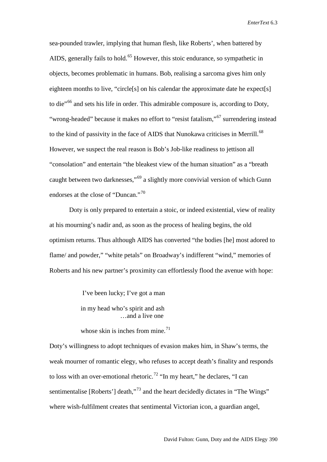sea-pounded trawler, implying that human flesh, like Roberts', when battered by AIDS, generally fails to hold.<sup>[65](#page-35-45)</sup> However, this stoic endurance, so sympathetic in objects, becomes problematic in humans. Bob, realising a sarcoma gives him only eighteen months to live, "circle[s] on his calendar the approximate date he expect[s] to die"[66](#page-35-46) and sets his life in order. This admirable composure is, according to Doty, "wrong-headed" because it makes no effort to "resist fatalism,"<sup>[67](#page-35-47)</sup> surrendering instead to the kind of passivity in the face of AIDS that Nunokawa criticises in Merrill.<sup>[68](#page-35-48)</sup> However, we suspect the real reason is Bob's Job-like readiness to jettison all "consolation" and entertain "the bleakest view of the human situation" as a "breath caught between two darknesses,"[69](#page-35-49) a slightly more convivial version of which Gunn endorses at the close of "Duncan."<sup>[70](#page-35-50)</sup>

Doty is only prepared to entertain a stoic, or indeed existential, view of reality at his mourning's nadir and, as soon as the process of healing begins, the old optimism returns. Thus although AIDS has converted "the bodies [he] most adored to flame/ and powder," "white petals" on Broadway's indifferent "wind," memories of Roberts and his new partner's proximity can effortlessly flood the avenue with hope:

I've been lucky; I've got a man

 in my head who's spirit and ash …and a live one

whose skin is inches from mine. $^{71}$  $^{71}$  $^{71}$ 

Doty's willingness to adopt techniques of evasion makes him, in Shaw's terms, the weak mourner of romantic elegy, who refuses to accept death's finality and responds to loss with an over-emotional rhetoric.<sup>[72](#page-35-1)</sup> "In my heart," he declares, "I can sentimentalise [Roberts'] death,"<sup>[73](#page-35-2)</sup> and the heart decidedly dictates in "The Wings" where wish-fulfilment creates that sentimental Victorian icon, a guardian angel,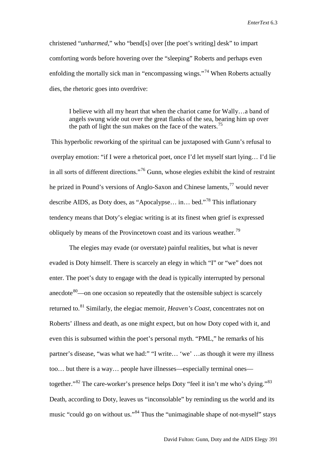christened "*unharmed,*" who "bend[s] over [the poet's writing] desk" to impart comforting words before hovering over the "sleeping" Roberts and perhaps even enfolding the mortally sick man in "encompassing wings."<sup>[74](#page-35-3)</sup> When Roberts actually dies, the rhetoric goes into overdrive:

I believe with all my heart that when the chariot came for Wally…a band of angels swung wide out over the great flanks of the sea, bearing him up over the path of light the sun makes on the face of the waters.<sup>[75](#page-35-4)</sup>

This hyperbolic reworking of the spiritual can be juxtaposed with Gunn's refusal to overplay emotion: "if I were a rhetorical poet, once I'd let myself start lying… I'd lie in all sorts of different directions."[76](#page-35-5) Gunn, whose elegies exhibit the kind of restraint he prized in Pound's versions of Anglo-Saxon and Chinese laments,<sup>[77](#page-35-6)</sup> would never describe AIDS, as Doty does, as "Apocalypse… in… bed."[78](#page-35-8) This inflationary tendency means that Doty's elegiac writing is at its finest when grief is expressed obliquely by means of the Provincetown coast and its various weather.<sup>79</sup>

The elegies may evade (or overstate) painful realities, but what is never evaded is Doty himself. There is scarcely an elegy in which "I" or "we" does not enter. The poet's duty to engage with the dead is typically interrupted by personal anecdote $80$ —on one occasion so repeatedly that the ostensible subject is scarcely returned to. [81](#page-35-10) Similarly, the elegiac memoir, *Heaven's Coast*, concentrates not on Roberts' illness and death, as one might expect, but on how Doty coped with it, and even this is subsumed within the poet's personal myth. "PML," he remarks of his partner's disease, "was what we had:" "I write… 'we' …as though it were my illness too… but there is a way… people have illnesses—especially terminal ones— together."<sup>[82](#page-35-11)</sup> The care-worker's presence helps Doty "feel it isn't me who's dying."<sup>[83](#page-35-12)</sup> Death, according to Doty, leaves us "inconsolable" by reminding us the world and its music "could go on without us."[84](#page-35-13) Thus the "unimaginable shape of not-myself" stays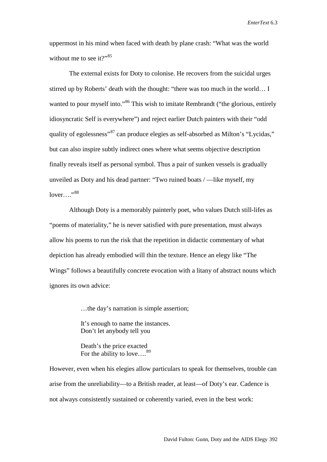uppermost in his mind when faced with death by plane crash: "What was the world without me to see it?" $85$ 

The external exists for Doty to colonise. He recovers from the suicidal urges stirred up by Roberts' death with the thought: "there was too much in the world… I wanted to pour myself into."<sup>[86](#page-35-15)</sup> This wish to imitate Rembrandt ("the glorious, entirely idiosyncratic Self is everywhere") and reject earlier Dutch painters with their "odd quality of egolessness"<sup>[87](#page-35-16)</sup> can produce elegies as self-absorbed as Milton's "Lycidas," but can also inspire subtly indirect ones where what seems objective description finally reveals itself as personal symbol. Thus a pair of sunken vessels is gradually unveiled as Doty and his dead partner: "Two ruined boats / —like myself, my  $lower...$ <sup>988</sup>

Although Doty is a memorably painterly poet, who values Dutch still-lifes as "poems of materiality," he is never satisfied with pure presentation, must always allow his poems to run the risk that the repetition in didactic commentary of what depiction has already embodied will thin the texture. Hence an elegy like "The Wings" follows a beautifully concrete evocation with a litany of abstract nouns which ignores its own advice:

…the day's narration is simple assertion;

 It's enough to name the instances. Don't let anybody tell you

 Death's the price exacted For the ability to love....<sup>[89](#page-35-18)</sup>

However, even when his elegies allow particulars to speak for themselves, trouble can arise from the unreliability—to a British reader, at least—of Doty's ear. Cadence is not always consistently sustained or coherently varied, even in the best work: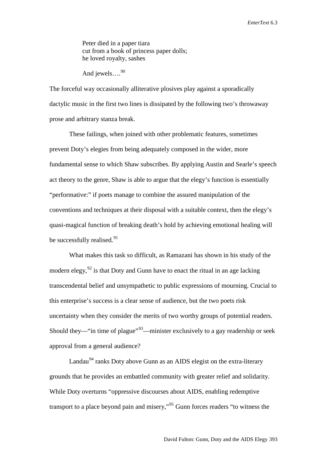Peter died in a paper tiara cut from a book of princess paper dolls; he loved royalty, sashes

And jewels.... $^{90}$  $^{90}$  $^{90}$ 

The forceful way occasionally alliterative plosives play against a sporadically dactylic music in the first two lines is dissipated by the following two's throwaway prose and arbitrary stanza break.

These failings, when joined with other problematic features, sometimes prevent Doty's elegies from being adequately composed in the wider, more fundamental sense to which Shaw subscribes. By applying Austin and Searle's speech act theory to the genre, Shaw is able to argue that the elegy's function is essentially "performative:" if poets manage to combine the assured manipulation of the conventions and techniques at their disposal with a suitable context, then the elegy's quasi-magical function of breaking death's hold by achieving emotional healing will be successfully realised.<sup>[91](#page-35-53)</sup>

What makes this task so difficult, as Ramazani has shown in his study of the modern elegy,  $92$  is that Doty and Gunn have to enact the ritual in an age lacking transcendental belief and unsympathetic to public expressions of mourning. Crucial to this enterprise's success is a clear sense of audience, but the two poets risk uncertainty when they consider the merits of two worthy groups of potential readers. Should they—"in time of plague"<sup>93</sup>—minister exclusively to a gay readership or seek approval from a general audience?

Landau<sup>[94](#page-35-22)</sup> ranks Doty above Gunn as an AIDS elegist on the extra-literary grounds that he provides an embattled community with greater relief and solidarity. While Doty overturns "oppressive discourses about AIDS, enabling redemptive transport to a place beyond pain and misery,"[95](#page-35-24) Gunn forces readers "to witness the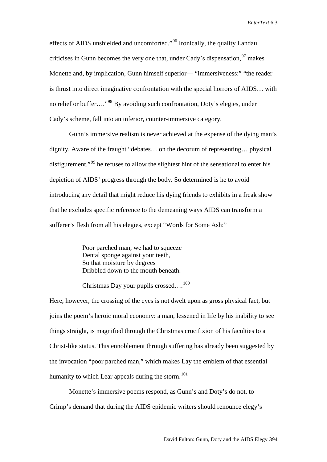effects of AIDS unshielded and uncomforted."[96](#page-35-25) Ironically, the quality Landau criticises in Gunn becomes the very one that, under Cady's dispensation, <sup>[97](#page-35-54)</sup> makes Monette and, by implication, Gunn himself superior— "immersiveness:" "the reader is thrust into direct imaginative confrontation with the special horrors of AIDS… with no relief or buffer…."[98](#page-35-27) By avoiding such confrontation, Doty's elegies, under Cady's scheme, fall into an inferior, counter-immersive category.

Gunn's immersive realism is never achieved at the expense of the dying man's dignity. Aware of the fraught "debates… on the decorum of representing… physical disfigurement,"<sup>[99](#page-35-28)</sup> he refuses to allow the slightest hint of the sensational to enter his depiction of AIDS' progress through the body. So determined is he to avoid introducing any detail that might reduce his dying friends to exhibits in a freak show that he excludes specific reference to the demeaning ways AIDS can transform a sufferer's flesh from all his elegies, except "Words for Some Ash:"

> Poor parched man, we had to squeeze Dental sponge against your teeth, So that moisture by degrees Dribbled down to the mouth beneath.

## Christmas Day your pupils crossed....<sup>100</sup>

Here, however, the crossing of the eyes is not dwelt upon as gross physical fact, but joins the poem's heroic moral economy: a man, lessened in life by his inability to see things straight, is magnified through the Christmas crucifixion of his faculties to a Christ-like status. This ennoblement through suffering has already been suggested by the invocation "poor parched man," which makes Lay the emblem of that essential humanity to which Lear appeals during the storm.<sup>[101](#page-35-31)</sup>

Monette's immersive poems respond, as Gunn's and Doty's do not, to Crimp's demand that during the AIDS epidemic writers should renounce elegy's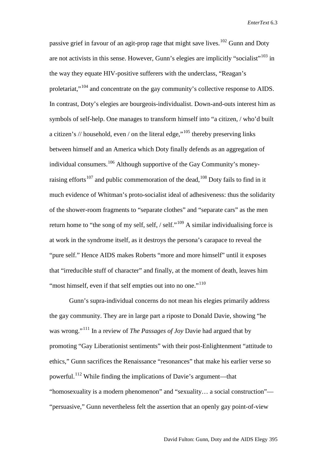passive grief in favour of an agit-prop rage that might save lives.<sup>[102](#page-35-32)</sup> Gunn and Doty are not activists in this sense. However, Gunn's elegies are implicitly "socialist"<sup>[103](#page-35-33)</sup> in the way they equate HIV-positive sufferers with the underclass, "Reagan's proletariat,"[104](#page-35-34) and concentrate on the gay community's collective response to AIDS. In contrast, Doty's elegies are bourgeois-individualist. Down-and-outs interest him as symbols of self-help. One manages to transform himself into "a citizen, / who'd built a citizen's // household, even / on the literal edge,"<sup>[105](#page-35-35)</sup> thereby preserving links between himself and an America which Doty finally defends as an aggregation of individual consumers.<sup>[106](#page-35-36)</sup> Although supportive of the Gay Community's money-raising efforts<sup>[107](#page-35-37)</sup> and public commemoration of the dead,<sup>[108](#page-35-38)</sup> Doty fails to find in it much evidence of Whitman's proto-socialist ideal of adhesiveness: thus the solidarity of the shower-room fragments to "separate clothes" and "separate cars" as the men return home to "the song of my self, self,  $/$  self."<sup>[109](#page-35-39)</sup> A similar individualising force is at work in the syndrome itself, as it destroys the persona's carapace to reveal the "pure self." Hence AIDS makes Roberts "more and more himself" until it exposes that "irreducible stuff of character" and finally, at the moment of death, leaves him "most himself, even if that self empties out into no one."<sup>110</sup>

Gunn's supra-individual concerns do not mean his elegies primarily address the gay community. They are in large part a riposte to Donald Davie, showing "he was wrong."[111](#page-35-41) In a review of *The Passages of Joy* Davie had argued that by promoting "Gay Liberationist sentiments" with their post-Enlightenment "attitude to ethics," Gunn sacrifices the Renaissance "resonances" that make his earlier verse so powerful.<sup>[112](#page-35-42)</sup> While finding the implications of Davie's argument—that "homosexuality is a modern phenomenon" and "sexuality… a social construction"— "persuasive," Gunn nevertheless felt the assertion that an openly gay point-of-view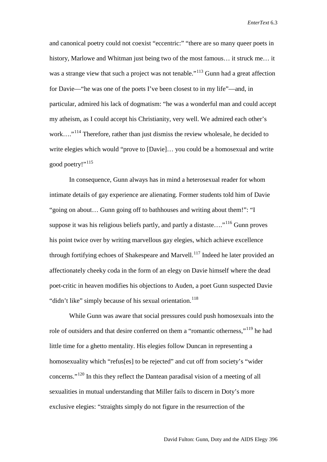and canonical poetry could not coexist "eccentric:" "there are so many queer poets in history, Marlowe and Whitman just being two of the most famous... it struck me... it was a strange view that such a project was not tenable."<sup>[113](#page-35-55)</sup> Gunn had a great affection for Davie—"he was one of the poets I've been closest to in my life"—and, in particular, admired his lack of dogmatism: "he was a wonderful man and could accept my atheism, as I could accept his Christianity, very well. We admired each other's work....<sup>"[114](#page-35-43)</sup> Therefore, rather than just dismiss the review wholesale, he decided to write elegies which would "prove to [Davie]… you could be a homosexual and write good poetry!"<sup>[115](#page-35-44)</sup>

In consequence, Gunn always has in mind a heterosexual reader for whom intimate details of gay experience are alienating. Former students told him of Davie "going on about… Gunn going off to bathhouses and writing about them!": "I suppose it was his religious beliefs partly, and partly a distaste...."<sup>[116](#page-35-46)</sup> Gunn proves his point twice over by writing marvellous gay elegies, which achieve excellence through fortifying echoes of Shakespeare and Marvell.<sup>[117](#page-35-47)</sup> Indeed he later provided an affectionately cheeky coda in the form of an elegy on Davie himself where the dead poet-critic in heaven modifies his objections to Auden, a poet Gunn suspected Davie "didn't like" simply because of his sexual orientation.<sup>[118](#page-35-48)</sup>

While Gunn was aware that social pressures could push homosexuals into the role of outsiders and that desire conferred on them a "romantic otherness,"<sup>[119](#page-35-56)</sup> he had little time for a ghetto mentality. His elegies follow Duncan in representing a homosexuality which "refus[es] to be rejected" and cut off from society's "wider concerns."[120](#page-35-49) In this they reflect the Dantean paradisal vision of a meeting of all sexualities in mutual understanding that Miller fails to discern in Doty's more exclusive elegies: "straights simply do not figure in the resurrection of the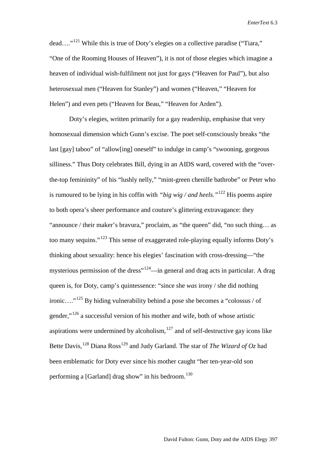dead…."[121](#page-35-0) While this is true of Doty's elegies on a collective paradise ("Tiara," "One of the Rooming Houses of Heaven"), it is not of those elegies which imagine a heaven of individual wish-fulfilment not just for gays ("Heaven for Paul"), but also heterosexual men ("Heaven for Stanley") and women ("Heaven," "Heaven for Helen") and even pets ("Heaven for Beau," "Heaven for Arden").

Doty's elegies, written primarily for a gay readership, emphasise that very homosexual dimension which Gunn's excise. The poet self-consciously breaks "the last [gay] taboo" of "allow[ing] oneself" to indulge in camp's "swooning, gorgeous silliness." Thus Doty celebrates Bill, dying in an AIDS ward, covered with the "overthe-top femininity" of his "lushly nelly," "mint-green chenille bathrobe" or Peter who is rumoured to be lying in his coffin with *"big wig / and heels."*[122](#page-35-2) His poems aspire to both opera's sheer performance and couture's glittering extravagance: they "announce / their maker's bravura," proclaim, as "the queen" did, "no such thing… as too many sequins."[123](#page-35-3) This sense of exaggerated role-playing equally informs Doty's thinking about sexuality: hence his elegies' fascination with cross-dressing—"the mysterious permission of the dress<sup>"124</sup>—in general and drag acts in particular. A drag queen is, for Doty, camp's quintessence: "since she *was* irony / she did nothing ironic…."[125](#page-35-5) By hiding vulnerability behind a pose she becomes a "colossus / of gender,"[126](#page-35-6) a successful version of his mother and wife, both of whose artistic aspirations were undermined by alcoholism, $127$  and of self-destructive gay icons like Bette Davis,<sup>[128](#page-35-8)</sup> Diana Ross<sup>[129](#page-35-51)</sup> and Judy Garland. The star of *The Wizard of Oz* had been emblematic for Doty ever since his mother caught "her ten-year-old son performing a [Garland] drag show" in his bedroom.<sup>[130](#page-35-9)</sup>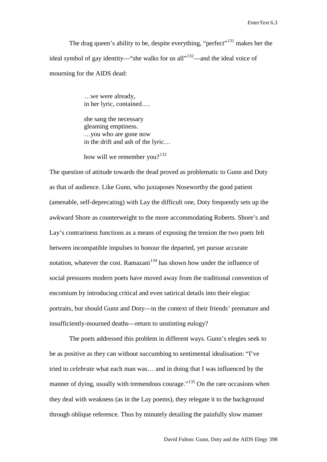The drag queen's ability to be, despite everything, "perfect"<sup>[131](#page-35-10)</sup> makes her the ideal symbol of gay identity—"she walks for us all $1^{132}$ —and the ideal voice of mourning for the AIDS dead:

> …we were already, in her lyric, contained….

 she sang the necessary gleaming emptiness. …you who are gone now in the drift and ash of the lyric…

how will we remember you? $133$ 

The question of attitude towards the dead proved as problematic to Gunn and Doty as that of audience. Like Gunn, who juxtaposes Noseworthy the good patient (amenable, self-deprecating) with Lay the difficult one, Doty frequently sets up the awkward Shore as counterweight to the more accommodating Roberts. Shore's and Lay's contrariness functions as a means of exposing the tension the two poets felt between incompatible impulses to honour the departed, yet pursue accurate notation, whatever the cost. Ramazani<sup>[134](#page-35-12)</sup> has shown how under the influence of social pressures modern poets have moved away from the traditional convention of encomium by introducing critical and even satirical details into their elegiac portraits, but should Gunn and Doty—in the context of their friends' premature and insufficiently-mourned deaths—return to unstinting eulogy?

The poets addressed this problem in different ways. Gunn's elegies seek to be as positive as they can without succumbing to sentimental idealisation: "I've tried to *celebrate* what each man was… and in doing that I was influenced by the manner of dying, usually with tremendous courage."<sup>[135](#page-35-13)</sup> On the rare occasions when they deal with weakness (as in the Lay poems), they relegate it to the background through oblique reference. Thus by minutely detailing the painfully slow manner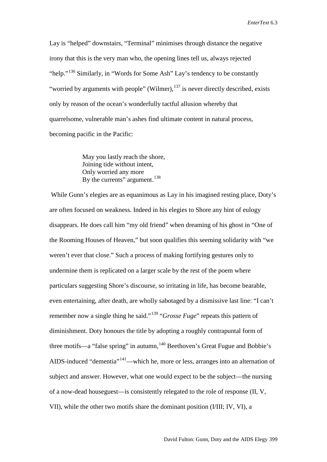Lay is "helped" downstairs, "Terminal" minimises through distance the negative irony that this is the very man who, the opening lines tell us, always rejected "help."<sup>[136](#page-35-14)</sup> Similarly, in "Words for Some Ash" Lay's tendency to be constantly "worried by arguments with people" (Wilmer),  $137$  is never directly described, exists only by reason of the ocean's wonderfully tactful allusion whereby that quarrelsome, vulnerable man's ashes find ultimate content in natural process, becoming pacific in the Pacific:

> May you lastly reach the shore, Joining tide without intent, Only worried any more By the currents" argument.<sup>138</sup>

While Gunn's elegies are as equanimous as Lay in his imagined resting place, Doty's are often focused on weakness. Indeed in his elegies to Shore any hint of eulogy disappears. He does call him "my old friend" when dreaming of his ghost in "One of the Rooming Houses of Heaven," but soon qualifies this seeming solidarity with "we weren't ever that close." Such a process of making fortifying gestures only to undermine them is replicated on a larger scale by the rest of the poem where particulars suggesting Shore's discourse, so irritating in life, has become bearable, even entertaining, after death, are wholly sabotaged by a dismissive last line: "I can't remember now a single thing he said."[139](#page-35-18) "*Grosse Fuge*" repeats this pattern of diminishment. Doty honours the title by adopting a roughly contrapuntal form of three motifs—a "false spring" in autumn, <sup>[140](#page-35-52)</sup> Beethoven's Great Fugue and Bobbie's AIDS-induced "dementia"<sup>[141](#page-35-53)</sup>—which he, more or less, arranges into an alternation of subject and answer. However, what one would expect to be the subject—the nursing of a now-dead houseguest—is consistently relegated to the role of response (II, V, VII), while the other two motifs share the dominant position (I/III; IV, VI), a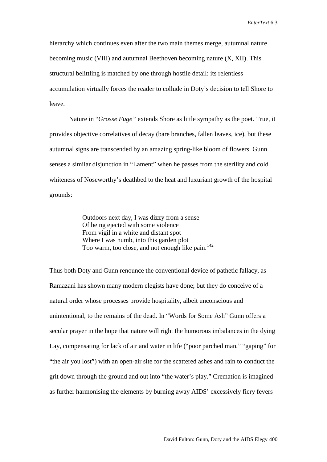hierarchy which continues even after the two main themes merge, autumnal nature becoming music (VIII) and autumnal Beethoven becoming nature (X, XII). This structural belittling is matched by one through hostile detail: its relentless accumulation virtually forces the reader to collude in Doty's decision to tell Shore to leave.

Nature in "*Grosse Fuge"* extends Shore as little sympathy as the poet. True, it provides objective correlatives of decay (bare branches, fallen leaves, ice), but these autumnal signs are transcended by an amazing spring-like bloom of flowers. Gunn senses a similar disjunction in "Lament" when he passes from the sterility and cold whiteness of Noseworthy's deathbed to the heat and luxuriant growth of the hospital grounds:

> Outdoors next day, I was dizzy from a sense Of being ejected with some violence From vigil in a white and distant spot Where I was numb, into this garden plot Too warm, too close, and not enough like pain.<sup>[142](#page-35-19)</sup>

Thus both Doty and Gunn renounce the conventional device of pathetic fallacy, as Ramazani has shown many modern elegists have done; but they do conceive of a natural order whose processes provide hospitality, albeit unconscious and unintentional, to the remains of the dead. In "Words for Some Ash" Gunn offers a secular prayer in the hope that nature will right the humorous imbalances in the dying Lay, compensating for lack of air and water in life ("poor parched man," "gaping" for "the air you lost") with an open-air site for the scattered ashes and rain to conduct the grit down through the ground and out into "the water's play." Cremation is imagined as further harmonising the elements by burning away AIDS' excessively fiery fevers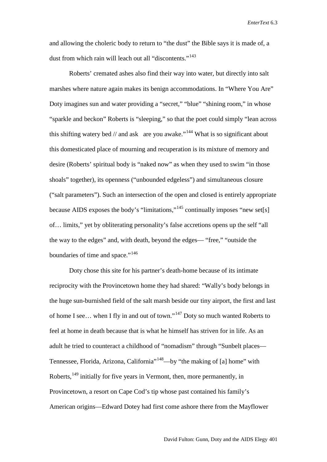and allowing the choleric body to return to "the dust" the Bible says it is made of, a dust from which rain will leach out all "discontents."<sup>[143](#page-35-20)</sup>

Roberts' cremated ashes also find their way into water, but directly into salt marshes where nature again makes its benign accommodations. In "Where You Are" Doty imagines sun and water providing a "secret," "blue" "shining room," in whose "sparkle and beckon" Roberts is "sleeping," so that the poet could simply "lean across this shifting watery bed  $\ell$  and ask are you awake."<sup>[144](#page-35-21)</sup> What is so significant about this domesticated place of mourning and recuperation is its mixture of memory and desire (Roberts' spiritual body is "naked now" as when they used to swim "in those shoals" together), its openness ("unbounded edgeless") and simultaneous closure ("salt parameters"). Such an intersection of the open and closed is entirely appropriate because AIDS exposes the body's "limitations,"[145](#page-35-22) continually imposes "new set[s] of… limits," yet by obliterating personality's false accretions opens up the self "all the way to the edges" and, with death, beyond the edges— "free," "outside the boundaries of time and space."<sup>[146](#page-35-23)</sup>

Doty chose this site for his partner's death-home because of its intimate reciprocity with the Provincetown home they had shared: "Wally's body belongs in the huge sun-burnished field of the salt marsh beside our tiny airport, the first and last of home I see… when I fly in and out of town."[147](#page-35-24) Doty so much wanted Roberts to feel at home in death because that is what he himself has striven for in life. As an adult he tried to counteract a childhood of "nomadism" through "Sunbelt places— Tennessee, Florida, Arizona, California<sup>"148</sup>—by "the making of [a] home" with Roberts, <sup>[149](#page-35-54)</sup> initially for five years in Vermont, then, more permanently, in Provincetown, a resort on Cape Cod's tip whose past contained his family's American origins—Edward Dotey had first come ashore there from the Mayflower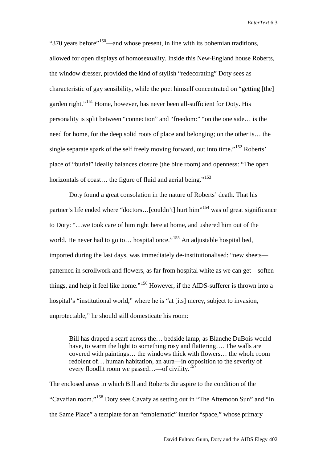"370 years before"<sup>[150](#page-35-26)</sup>—and whose present, in line with its bohemian traditions, allowed for open displays of homosexuality. Inside this New-England house Roberts, the window dresser, provided the kind of stylish "redecorating" Doty sees as characteristic of gay sensibility, while the poet himself concentrated on "getting [the] garden right."<sup>[151](#page-35-27)</sup> Home, however, has never been all-sufficient for Doty. His personality is split between "connection" and "freedom:" "on the one side… is the need for home, for the deep solid roots of place and belonging; on the other is… the single separate spark of the self freely moving forward, out into time."<sup>[152](#page-35-28)</sup> Roberts' place of "burial" ideally balances closure (the blue room) and openness: "The open horizontals of coast... the figure of fluid and aerial being."<sup>[153](#page-35-29)</sup>

Doty found a great consolation in the nature of Roberts' death. That his partner's life ended where "doctors...[couldn't] hurt him"<sup>[154](#page-35-30)</sup> was of great significance to Doty: "…we took care of him right here at home, and ushered him out of the world. He never had to go to... hospital once."<sup>[155](#page-35-31)</sup> An adjustable hospital bed, imported during the last days, was immediately de-institutionalised: "new sheets patterned in scrollwork and flowers, as far from hospital white as we can get—soften things, and help it feel like home."<sup>[156](#page-35-32)</sup> However, if the AIDS-sufferer is thrown into a hospital's "institutional world," where he is "at [its] mercy, subject to invasion, unprotectable," he should still domesticate his room:

Bill has draped a scarf across the… bedside lamp, as Blanche DuBois would have, to warm the light to something rosy and flattering…. The walls are covered with paintings… the windows thick with flowers… the whole room redolent of… human habitation, an aura—in opposition to the severity of every floodlit room we passed...—of civility.<sup>15</sup>

The enclosed areas in which Bill and Roberts die aspire to the condition of the "Cavafian room."[158](#page-35-34) Doty sees Cavafy as setting out in "The Afternoon Sun" and "In the Same Place" a template for an "emblematic" interior "space," whose primary

David Fulton: Gunn, Doty and the AIDS Elegy 402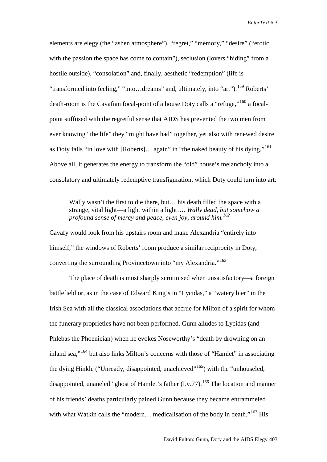elements are elegy (the "ashen atmosphere"), "regret," "memory," "desire" ("erotic with the passion the space has come to contain"), seclusion (lovers "hiding" from a hostile outside), "consolation" and, finally, aesthetic "redemption" (life is "transformed into feeling," "into...dreams" and, ultimately, into "art").<sup>[159](#page-35-35)</sup> Roberts' death-room is the Cavafian focal-point of a house Doty calls a "refuge,"<sup>[160](#page-35-37)</sup> a focalpoint suffused with the regretful sense that AIDS has prevented the two men from ever knowing "the life" they "might have had" together, yet also with renewed desire as Doty falls "in love with [Roberts]… again" in "the naked beauty of his dying."[161](#page-35-38) Above all, it generates the energy to transform the "old" house's melancholy into a consolatory and ultimately redemptive transfiguration, which Doty could turn into art:

Wally wasn't the first to die there, but... his death filled the space with a strange, vital light—a light within a light…. *Wally dead, but somehow a profound sense of mercy and peace, even joy, around him.[162](#page-35-39)*

Cavafy would look from his upstairs room and make Alexandria "entirely into himself;" the windows of Roberts' room produce a similar reciprocity in Doty, converting the surrounding Provincetown into "my Alexandria."<sup>[163](#page-35-40)</sup>

The place of death is most sharply scrutinised when unsatisfactory—a foreign battlefield or, as in the case of Edward King's in "Lycidas," a "watery bier" in the Irish Sea with all the classical associations that accrue for Milton of a spirit for whom the funerary proprieties have not been performed. Gunn alludes to Lycidas (and Phlebas the Phoenician) when he evokes Noseworthy's "death by drowning on an inland sea,"[164](#page-35-41) but also links Milton's concerns with those of "Hamlet" in associating the dying Hinkle ("Unready, disappointed, unachieved"<sup>[165](#page-35-42)</sup>) with the "unhouseled, disappointed, unaneled" ghost of Hamlet's father  $(I.v.77)$ .<sup>[166](#page-35-58)</sup> The location and manner of his friends' deaths particularly pained Gunn because they became entrammeled with what Watkin calls the "modern... medicalisation of the body in death."<sup>[167](#page-35-55)</sup> His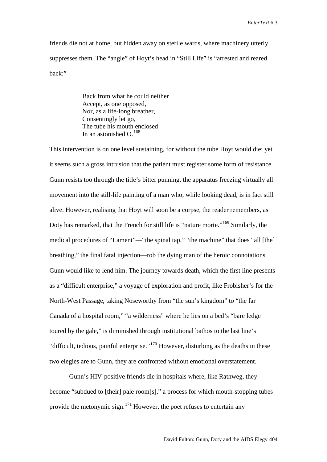friends die not at home, but hidden away on sterile wards, where machinery utterly suppresses them. The "angle" of Hoyt's head in "Still Life" is "arrested and reared back:"

> Back from what he could neither Accept, as one opposed, Nor, as a life-long breather, Consentingly let go, The tube his mouth enclosed In an astonished  $\Omega$ .<sup>[168](#page-35-44)</sup>

This intervention is on one level sustaining, for without the tube Hoyt would die; yet it seems such a gross intrusion that the patient must register some form of resistance. Gunn resists too through the title's bitter punning, the apparatus freezing virtually all movement into the still-life painting of a man who, while looking dead, is in fact still alive. However, realising that Hoyt will soon be a corpse, the reader remembers, as Doty has remarked, that the French for still life is "nature morte."<sup>[169](#page-35-45)</sup> Similarly, the medical procedures of "Lament"—"the spinal tap," "the machine" that does "all [the] breathing," the final fatal injection—rob the dying man of the heroic connotations Gunn would like to lend him. The journey towards death, which the first line presents as a "difficult enterprise," a voyage of exploration and profit, like Frobisher's for the North-West Passage, taking Noseworthy from "the sun's kingdom" to "the far Canada of a hospital room," "a wilderness" where he lies on a bed's "bare ledge toured by the gale," is diminished through institutional bathos to the last line's "difficult, tedious, painful enterprise."[170](#page-35-46) However, disturbing as the deaths in these two elegies are to Gunn, they are confronted without emotional overstatement.

Gunn's HIV-positive friends die in hospitals where, like Rathweg, they become "subdued to [their] pale room[s]," a process for which mouth-stopping tubes provide the metonymic sign.<sup>[171](#page-35-47)</sup> However, the poet refuses to entertain any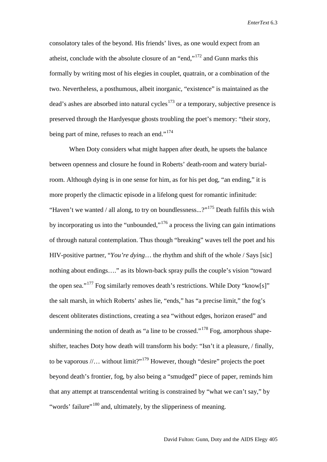consolatory tales of the beyond. His friends' lives, as one would expect from an atheist, conclude with the absolute closure of an "end,"<sup>[172](#page-35-48)</sup> and Gunn marks this formally by writing most of his elegies in couplet, quatrain, or a combination of the two. Nevertheless, a posthumous, albeit inorganic, "existence" is maintained as the dead's ashes are absorbed into natural cycles<sup>[173](#page-35-56)</sup> or a temporary, subjective presence is preserved through the Hardyesque ghosts troubling the poet's memory: "their story, being part of mine, refuses to reach an end."<sup>[174](#page-35-49)</sup>

When Doty considers what might happen after death, he upsets the balance between openness and closure he found in Roberts' death-room and watery burialroom. Although dying is in one sense for him, as for his pet dog, "an ending," it is more properly the climactic episode in a lifelong quest for romantic infinitude: "Haven't we wanted / all along, to try on boundlessness...?"<sup>[175](#page-35-50)</sup> Death fulfils this wish by incorporating us into the "unbounded,"[176](#page-35-0) a process the living can gain intimations of through natural contemplation. Thus though "breaking" waves tell the poet and his HIV-positive partner, "*You're dying*… the rhythm and shift of the whole / Says [sic] nothing about endings…." as its blown-back spray pulls the couple's vision "toward the open sea."<sup>[177](#page-35-1)</sup> Fog similarly removes death's restrictions. While Doty "know[s]" the salt marsh, in which Roberts' ashes lie, "ends," has "a precise limit," the fog's descent obliterates distinctions, creating a sea "without edges, horizon erased" and undermining the notion of death as "a line to be crossed."<sup>[178](#page-35-2)</sup> Fog, amorphous shapeshifter, teaches Doty how death will transform his body: "Isn't it a pleasure, / finally, to be vaporous  $//\ldots$  without limit?"<sup>[179](#page-35-3)</sup> However, though "desire" projects the poet beyond death's frontier, fog, by also being a "smudged" piece of paper, reminds him that any attempt at transcendental writing is constrained by "what we can't say," by "words' failure"<sup>[180](#page-35-4)</sup> and, ultimately, by the slipperiness of meaning.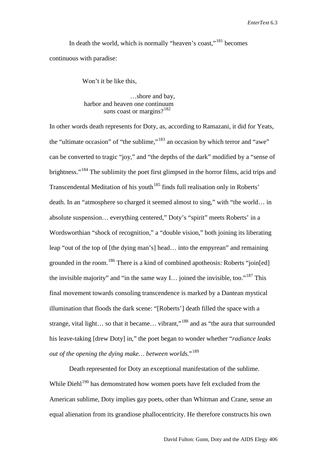In death the world, which is normally "heaven's coast,"<sup>[181](#page-35-5)</sup> becomes continuous with paradise:

Won't it be like this,

 …shore and bay, harbor and heaven one continuum *sans* coast or margins?<sup>[182](#page-35-6)</sup>

In other words death represents for Doty, as, according to Ramazani, it did for Yeats, the "ultimate occasion" of "the sublime,"[183](#page-35-7) an occasion by which terror and "awe" can be converted to tragic "joy," and "the depths of the dark" modified by a "sense of brightness."<sup>[184](#page-35-51)</sup> The sublimity the poet first glimpsed in the horror films, acid trips and Transcendental Meditation of his youth<sup>[185](#page-35-9)</sup> finds full realisation only in Roberts' death. In an "atmosphere so charged it seemed almost to sing," with "the world… in absolute suspension… everything centered," Doty's "spirit" meets Roberts' in a Wordsworthian "shock of recognition," a "double vision," both joining its liberating leap "out of the top of [the dying man's] head… into the empyrean" and remaining grounded in the room.<sup>[186](#page-35-10)</sup> There is a kind of combined apotheosis: Roberts "join[ed] the invisible majority" and "in the same way I... joined the invisible, too."<sup>[187](#page-35-57)</sup> This final movement towards consoling transcendence is marked by a Dantean mystical illumination that floods the dark scene: "[Roberts'] death filled the space with a strange, vital light... so that it became... vibrant,"<sup>[188](#page-35-11)</sup> and as "the aura that surrounded his leave-taking [drew Doty] in," the poet began to wonder whether "*radiance leaks out of the opening the dying make… between worlds.*"[189](#page-35-12)

Death represented for Doty an exceptional manifestation of the sublime. While Diehl<sup>[190](#page-35-13)</sup> has demonstrated how women poets have felt excluded from the American sublime, Doty implies gay poets, other than Whitman and Crane, sense an equal alienation from its grandiose phallocentricity. He therefore constructs his own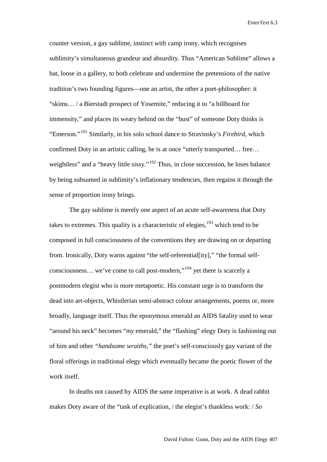counter version, a gay sublime, instinct with camp irony, which recognises sublimity's simultaneous grandeur and absurdity. Thus "American Sublime" allows a bat, loose in a gallery, to both celebrate and undermine the pretensions of the native tradition's two founding figures—one an artist, the other a poet-philosopher: it "skims… / a Bierstadt prospect of Yosemite," reducing it to "a billboard for immensity," and places its weary behind on the "bust" of someone Doty thinks is "Emerson."[191](#page-35-17) Similarly, in his solo school dance to Stravinsky's *Firebird*, which confirmed Doty in an artistic calling, he is at once "utterly transported… free… weightless" and a "heavy little sissy."<sup>[192](#page-35-52)</sup> Thus, in close succession, he loses balance by being subsumed in sublimity's inflationary tendencies, then regains it through the sense of proportion irony brings.

The gay sublime is merely one aspect of an acute self-awareness that Doty takes to extremes. This quality is a characteristic of elegies, <sup>[193](#page-35-53)</sup> which tend to be composed in full consciousness of the conventions they are drawing on or departing from. Ironically, Doty warns against "the self-referential[ity]," "the formal selfconsciousness… we've come to call post-modern,"[194](#page-35-20) yet there is scarcely a postmodern elegist who is more metapoetic. His constant urge is to transform the dead into art-objects, Whistlerian semi-abstract colour arrangements, poems or, more broadly, language itself. Thus the eponymous emerald an AIDS fatality used to wear "around his neck" becomes "*my* emerald," the "flashing" elegy Doty is fashioning out of him and other *"handsome wraiths,"* the poet's self-consciously gay variant of the floral offerings in traditional elegy which eventually became the poetic flower of the work itself

In deaths not caused by AIDS the same imperative is at work. A dead rabbit makes Doty aware of the "task of explication, / the elegist's thankless work: / *So*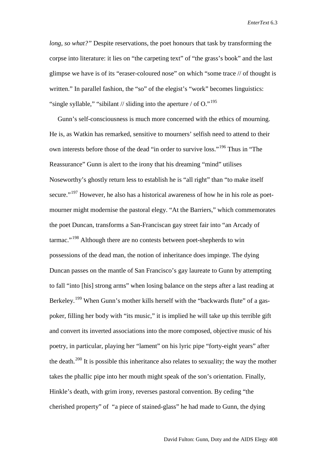*long, so what?"* Despite reservations, the poet honours that task by transforming the corpse into literature: it lies on "the carpeting text" of "the grass's book" and the last glimpse we have is of its "eraser-coloured nose" on which "some trace // of thought is written." In parallel fashion, the "so" of the elegist's "work" becomes linguistics: "single syllable," "sibilant // sliding into the aperture / of  $Q$ ."<sup>[195](#page-35-21)</sup>

 Gunn's self-consciousness is much more concerned with the ethics of mourning. He is, as Watkin has remarked, sensitive to mourners' selfish need to attend to their own interests before those of the dead "in order to survive loss."[196](#page-35-22) Thus in "The Reassurance" Gunn is alert to the irony that his dreaming "mind" utilises Noseworthy's ghostly return less to establish he is "all right" than "to make itself secure."<sup>[197](#page-35-23)</sup> However, he also has a historical awareness of how he in his role as poetmourner might modernise the pastoral elegy. "At the Barriers," which commemorates the poet Duncan, transforms a San-Franciscan gay street fair into "an Arcady of tarmac."[198](#page-35-24) Although there are no contests between poet-shepherds to win possessions of the dead man, the notion of inheritance does impinge. The dying Duncan passes on the mantle of San Francisco's gay laureate to Gunn by attempting to fall "into [his] strong arms" when losing balance on the steps after a last reading at Berkeley.<sup>[199](#page-35-25)</sup> When Gunn's mother kills herself with the "backwards flute" of a gaspoker, filling her body with "its music," it is implied he will take up this terrible gift and convert its inverted associations into the more composed, objective music of his poetry, in particular, playing her "lament" on his lyric pipe "forty-eight years" after the death.<sup>[200](#page-35-54)</sup> It is possible this inheritance also relates to sexuality; the way the mother takes the phallic pipe into her mouth might speak of the son's orientation. Finally, Hinkle's death, with grim irony, reverses pastoral convention. By ceding "the cherished property" of "a piece of stained-glass" he had made to Gunn, the dying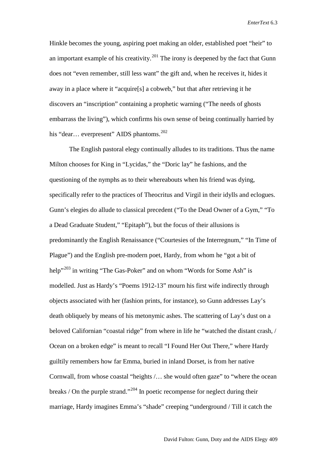Hinkle becomes the young, aspiring poet making an older, established poet "heir" to an important example of his creativity.<sup>[201](#page-35-26)</sup> The irony is deepened by the fact that Gunn does not "even remember, still less want" the gift and, when he receives it, hides it away in a place where it "acquire[s] a cobweb," but that after retrieving it he discovers an "inscription" containing a prophetic warning ("The needs of ghosts embarrass the living"), which confirms his own sense of being continually harried by his "dear... everpresent" AIDS phantoms.<sup>[202](#page-35-27)</sup>

The English pastoral elegy continually alludes to its traditions. Thus the name Milton chooses for King in "Lycidas," the "Doric lay" he fashions, and the questioning of the nymphs as to their whereabouts when his friend was dying, specifically refer to the practices of Theocritus and Virgil in their idylls and eclogues. Gunn's elegies do allude to classical precedent ("To the Dead Owner of a Gym," "To a Dead Graduate Student," "Epitaph"), but the focus of their allusions is predominantly the English Renaissance ("Courtesies of the Interregnum," "In Time of Plague") and the English pre-modern poet, Hardy, from whom he "got a bit of help<sup>"[203](#page-35-28)</sup> in writing "The Gas-Poker" and on whom "Words for Some Ash" is modelled. Just as Hardy's "Poems 1912-13" mourn his first wife indirectly through objects associated with her (fashion prints, for instance), so Gunn addresses Lay's death obliquely by means of his metonymic ashes. The scattering of Lay's dust on a beloved Californian "coastal ridge" from where in life he "watched the distant crash, / Ocean on a broken edge" is meant to recall "I Found Her Out There," where Hardy guiltily remembers how far Emma, buried in inland Dorset, is from her native Cornwall, from whose coastal "heights /… she would often gaze" to "where the ocean breaks / On the purple strand."<sup>[204](#page-35-29)</sup> In poetic recompense for neglect during their marriage, Hardy imagines Emma's "shade" creeping "underground / Till it catch the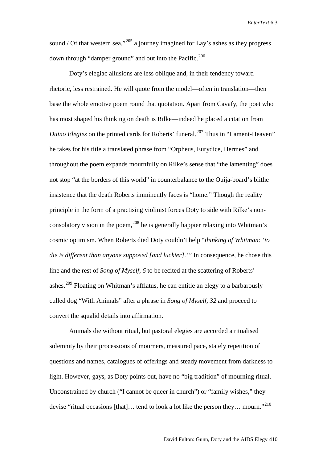sound / Of that western sea,"  $205$  a journey imagined for Lay's ashes as they progress down through "damper ground" and out into the Pacific.<sup>[206](#page-35-31)</sup>

Doty's elegiac allusions are less oblique and, in their tendency toward rhetoric**,** less restrained. He will quote from the model—often in translation—then base the whole emotive poem round that quotation. Apart from Cavafy, the poet who has most shaped his thinking on death is Rilke—indeed he placed a citation from *Duino Elegies* on the printed cards for Roberts' funeral. [207](#page-35-32) Thus in "Lament-Heaven" he takes for his title a translated phrase from "Orpheus, Eurydice, Hermes" and throughout the poem expands mournfully on Rilke's sense that "the lamenting" does not stop "at the borders of this world" in counterbalance to the Ouija-board's blithe insistence that the death Roberts imminently faces is "home." Though the reality principle in the form of a practising violinist forces Doty to side with Rilke's non-consolatory vision in the poem,<sup>[208](#page-35-33)</sup> he is generally happier relaxing into Whitman's cosmic optimism. When Roberts died Doty couldn't help "*thinking of Whitman: 'to die is different than anyone supposed [and luckier].'"* In consequence, he chose this line and the rest of *Song of Myself, 6* to be recited at the scattering of Roberts' ashes.<sup>[209](#page-35-34)</sup> Floating on Whitman's afflatus, he can entitle an elegy to a barbarously culled dog "With Animals" after a phrase in *Song of Myself, 32* and proceed to convert the squalid details into affirmation.

Animals die without ritual, but pastoral elegies are accorded a ritualised solemnity by their processions of mourners, measured pace, stately repetition of questions and names, catalogues of offerings and steady movement from darkness to light. However, gays, as Doty points out, have no "big tradition" of mourning ritual. Unconstrained by church ("I cannot be queer in church") or "family wishes," they devise "ritual occasions [that]... tend to look a lot like the person they... mourn."<sup>[210](#page-35-35)</sup>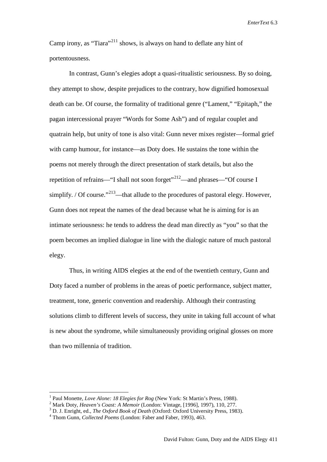Camp irony, as "Tiara"<sup>[211](#page-35-36)</sup> shows, is always on hand to deflate any hint of portentousness.

In contrast, Gunn's elegies adopt a quasi-ritualistic seriousness. By so doing, they attempt to show, despite prejudices to the contrary, how dignified homosexual death can be. Of course, the formality of traditional genre ("Lament," "Epitaph," the pagan intercessional prayer "Words for Some Ash") and of regular couplet and quatrain help, but unity of tone is also vital: Gunn never mixes register—formal grief with camp humour, for instance—as Doty does. He sustains the tone within the poems not merely through the direct presentation of stark details, but also the repetition of refrains—"I shall not soon forget"<sup>[212](#page-35-37)</sup>—and phrases—"Of course I simplify. / Of course."<sup>[213](#page-35-38)</sup>—that allude to the procedures of pastoral elegy. However, Gunn does not repeat the names of the dead because what he is aiming for is an intimate seriousness: he tends to address the dead man directly as "you" so that the poem becomes an implied dialogue in line with the dialogic nature of much pastoral elegy.

Thus, in writing AIDS elegies at the end of the twentieth century, Gunn and Doty faced a number of problems in the areas of poetic performance, subject matter, treatment, tone, generic convention and readership. Although their contrasting solutions climb to different levels of success, they unite in taking full account of what is new about the syndrome, while simultaneously providing original glosses on more than two millennia of tradition.

<sup>&</sup>lt;sup>1</sup> Paul Monette, *Love Alone: 18 Elegies for Rog* (New York: St Martin's Press, 1988).<br><sup>2</sup> Mark Doty, *Heaven's Coast: A Memoir* (London: Vintage, [1996], 1997), 110, 277.<br><sup>3</sup> D. J. Enright, ed., *The Oxford Book of Deat*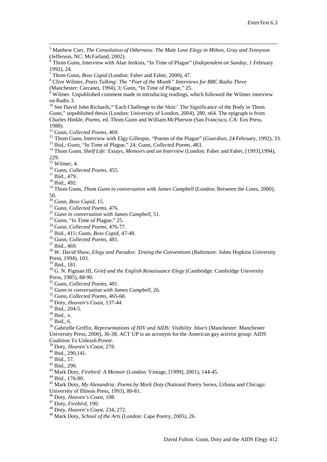5 Matthew Curr, *The Consolation of Otherness: The Male Love Elegy in Milton, Gray and Tennyson*  $\frac{6}{6}$  Thom Gunn, Interview with Alan Jenkins, "In Time of Plague" (*Independent on Sunday*, 1 February 1992). 24. <sup>7</sup> Thom Gunn, *Boss Cupid* (London: Faber and Faber, 2000), 47.<br><sup>8</sup> Clive Wilmer, *Poets Talking: The "Poet of the Month" Interviews for BBC Radio Three*<br>(Manchester: Carcanet, 1994), 3: Gunn, "In Time of Plague," 25.  $\frac{9}{9}$  Wilmer. Unpublished comment made in introducing readings, which followed the Wilmer interview on Radio 3. <sup>10</sup> See David John Richards, "'Each Challenge to the Skin:' The Significance of the Body in Thom Gunn," unpublished thesis (London: University of London, 2004), 280, n64. The epigraph is from Charles Hinkle, *Poems*, ed. Thom Gunn and William McPherson (San Francisco, CA: Eos Press, 1988).<br><sup>11</sup> Gunn, *Collected Poems*, 469. <sup>12</sup> Thom Gunn, Interview with Elgy Gillespie, "Poems of the Plague" (*Guardian*, 24 February, 1992), 33.<br><sup>13</sup> Ibid.; Gunn, "In Time of Plague," 24; Gunn, *Collected Poems*, 483.<br><sup>14</sup> Thom Gunn, *Shelf Life: Essays, Memoi* <sup>16</sup> Gunn, *Collected Poems*, 455.<br><sup>17</sup> Ibid., 479.<br><sup>18</sup> Ibid., 492.<br><sup>19</sup> Thom Gunn, *Thom Gunn in conversation with James Campbell* (London: Between the Lines, 2000), 50.<br><sup>20</sup> Gunn, *Boss Cupid*, 15.<br><sup>21</sup> Gunn, *Collected Poems*, 476.<br><sup>22</sup> Gunn in conversation with James Campbell, 51.<br><sup>23</sup> Gunn, "In Time of Plague," 25.<br><sup>24</sup> Gunn, *Collected Poems*, 476-77.<br><sup>25</sup> Ibid., 415; Gunn, *Boss* Press, 1994), 103.<br><sup>29</sup> Ibid., 181.<br><sup>30</sup> G. N. Pigman III, *Grief and the English Renaissance Elegy* (Cambridge: Cambridge University Press, 1985), 88-90.<br>
<sup>31</sup> Gunn, *Collected Poems*, 481.<br>
<sup>32</sup> Gunn in conversation with James Campbell, 26.<br>
<sup>33</sup> Gunn, *Collected Poems*, 465-68.<br>
<sup>34</sup> Doty, *Heaven's Coast*, 137-44.<br>
<sup>35</sup> Ibid., 204-5.<br>
<sup>36</sup> Ibid., s.<br> University Press, 2000), 36-38. ACT UP is an acronym for the American gay activist group: AIDS Coalition To Unleash Power.<br><sup>39</sup> Doty, *Heaven's Coast*, 278. <sup>40</sup> Ibid., 290,141.<br>
<sup>41</sup> Ibid., 57.<br>
<sup>42</sup> Ibid., 290.<br>
<sup>43</sup> Mark Doty, *Firebird: A Memoir* (London: Vintage, [1999], 2001), 144-45.<br>
<sup>44</sup> Ibid., 176-80.<br>
<sup>45</sup> Mark Doty, *My Alexandria: Poems by Mark Doty* (National Po University of Illinois Press, 1993), 80-81.<br>
<sup>46</sup> Doty, *Heaven's Coast*, 108.<br>
<sup>47</sup> Doty, *Firebird*, 190.<br>
<sup>48</sup> Doty, *Heaven's Coast*, 234, 272.<br>
<sup>49</sup> Mark Doty, *School of the Arts* (London: Cape Poetry, 2005), 26.

- 
- <span id="page-31-0"></span>
- <span id="page-31-3"></span><span id="page-31-2"></span><span id="page-31-1"></span>
-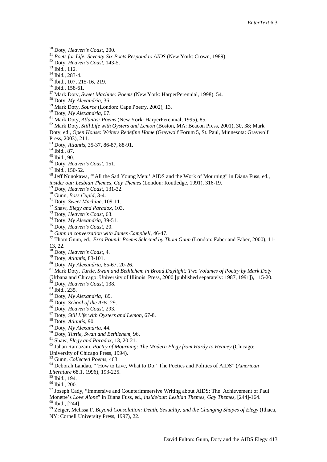<span id="page-32-1"></span>

<span id="page-32-2"></span>

<span id="page-32-0"></span><sup>50</sup> Doty, *Heaven's Coast*, 200.<br><sup>51</sup> Poets for Life: Seventy-Six Poets Respond to AIDS (New York: Crown, 1989).<br><sup>52</sup> Doty, *Heaven's Coast*, 143-5.<br><sup>53</sup> Did., 112.<br><sup>54</sup> Did., 1233-4.<br><sup>55</sup> Did., 158-61.<br><sup>55</sup> Did., 158-61. Doty, ed., *Open House: Writers Redefine Home* (Graywolf Forum 5, St. Paul, Minnesota: Graywolf

<sup>63</sup> Doty, *Atlantis*, 35-37, 86-87, 88-91.<br>
<sup>64</sup> Ibid., 87.<br>
<sup>65</sup> Doty, *Heaven's Coast*, 151.<br>
<sup>66</sup> Doty, *Heaven's Coast*, 151.<br>
<sup>67</sup> Ibid., 150-52.<br>
<sup>68</sup> Jeff Nunokawa, "`All the Sad Young Men:' AIDS and the Work of M

inside/out: Lesbian Themes, Gay Themes (London: Routledge, 1991), 316-19.<br><sup>69</sup> Doty, Heaven's Coast, 131-32.<br><sup>70</sup> Gunn, Boss Cupid, 3-4.<br><sup>71</sup> Doty, Sweet Machine, 109-11.<br><sup>72</sup> Shaw, Elegy and Paradox, 103.<br><sup>73</sup> Doty, Heave 13, 22.<br><sup>78</sup> Doty, *Heaven's Coast*, 4.<br><sup>79</sup> Doty, *Atlantis*, 83-101.<br><sup>80</sup> Doty, *My Alexandria*, 65-67, 20-26.<br><sup>81</sup> Mark Doty, *Turtle, Swan and Bethlehem in Broad Daylight: Two Volumes of Poetry by Mark Doty*.

(Urbana and Chicago: University of Illinois Press, 2000 [published separately: 1987, 1991]), 115-20.<br>
<sup>82</sup> Doty, *Heaven's Coast*, 138.<br>
<sup>83</sup> Ibid., 235.<br>
<sup>83</sup> Ibid., 235.<br>
<sup>84</sup> Doty, *My Alexandria*, 89.<br>
<sup>85</sup> Doty, *Sch* 

University of Chicago Press, 1994).<br><sup>93</sup> Gunn, Collected Poems, 463.

<sup>94</sup> Deborah Landau, "'How to Live, What to Do:' The Poetics and Politics of AIDS" (*American Literature* 68.1, 1996), 193-225.<br><sup>95</sup> Ibid., 194.

<sup>96</sup> Ibid., 200.<br><sup>97</sup> Joseph Cady, "Immersive and Counterimmersive Writing about AIDS: The Achievement of Paul Monette's *Love Alone*" in Diana Fuss, ed., *inside/out: Lesbian Themes, Gay Themes*, [244]-164.

<sup>99</sup> Zeiger, Melissa F. *Beyond Consolation: Death, Sexuality, and the Changing Shapes of Elegy* (Ithaca, NY: Cornell University Press, 1997), 22.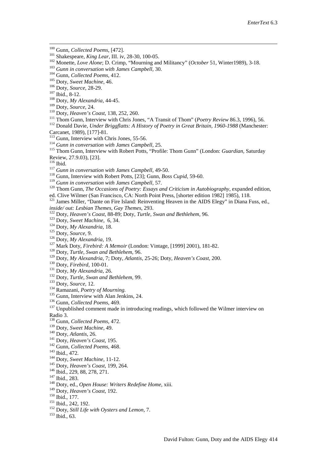- 
- 
- 
- 
- 
- <span id="page-33-0"></span>
- 
- <span id="page-33-1"></span>
- 
- <span id="page-33-2"></span>
- 
- <sup>100</sup> Gunn, *Collected Poems*, [472].<br>
<sup>101</sup> Shakespeare, *King Lear*, III. iv, 28-30, 100-05.<br>
<sup>102</sup> Monette, *Love Alone*; D. Crimp, "Mourning and Militancy" (*October* 51, Winter1989), 3-18.<br>
<sup>103</sup> Gunn *in conversation*
- 
- <span id="page-33-5"></span>
- 
- <span id="page-33-4"></span><span id="page-33-3"></span>Carcanet, 1989), [177]-81.<br>
<sup>113</sup> Gunn, Interview with Chris Jones, 55-56.<br>
<sup>114</sup> Gunn, Interview with Chris Jones, 55-56.<br>
<sup>114</sup> Gunn in conversation with James Campbell, 25.<br>
<sup>115</sup> Thom Gunn, Interview with Robert Potts,
- 
- 
- 
- 
- <span id="page-33-7"></span><span id="page-33-6"></span><sup>116</sup> Ibid.<br>
<sup>116</sup> Gunn in conversation with James Campbell, 49-50.<br>
<sup>117</sup> Gunn, Interview with Robert Potts, [23]; Gunn, *Boss Cupid*, 59-60.<br>
<sup>119</sup> Gunn in conversation with James Campbell, 57.<br>
<sup>119</sup> Thom Gunn, *The Oc*
- 
- <sup>121</sup> James Miller, "Dante on Fire Island: Reinventing Heaven in the AIDS Elegy" in Diana Fuss, ed., *inside/out: Lesbian Themes, Gay Themes*, 293. <sup>122</sup> Doty, *Heaven's Coast*, 88-89; Doty, *Turtle, Swan and Bethlehem*,
- 
- 
- 
- 
- 
- 
- 
- 
- 
- 
- 
- 
- 
- 
- 
- inside/out: Lesbian Themes, Gay Themes, 293.<br>
<sup>122</sup> Doty, Heaven's Coast, 88-89; Doty, Turtle, Swan and Bethlehem, 96.<br>
<sup>123</sup> Doty, *Sweet Machine*, 6, 34.<br>
<sup>124</sup> Doty, *My Alexandria*, 18.<br>
<sup>125</sup> Doty, *My Alexandria*, 19

- Radio 3.<br><sup>138</sup> Gunn, *Collected Poems*, 472.
- 
- 
- 
- 
- 
- 
- 
- 
- 
- <sup>138</sup> Gunn, *Collected Poems*, 472.<br><sup>139</sup> Doty, *Sweet Machine*, 49.<br><sup>140</sup> Doty, *Atlantis*, 26.<br><sup>141</sup> Doty, *Heaven's Coast*, 195.<br><sup>142</sup> Gunn, *Collected Poems*, 468.<br><sup>143</sup> Ibid., 472.<br><sup>145</sup> Doty, *Heaven's Coast*, 199,
- 
- 
- 
- 
-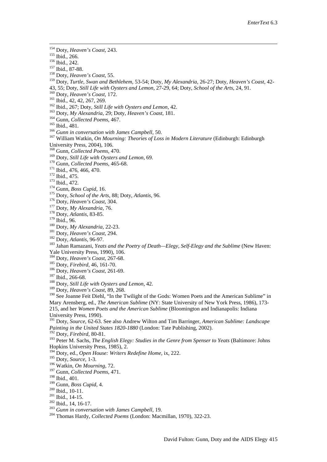- 
- 
- 
- 
- 
- <sup>154</sup> Doty, *Heaven's Coast*, 243.<br>
<sup>155</sup> Ibid., 266.<br>
<sup>155</sup> Ibid., 242.<br>
<sup>157</sup> Ibid., 87-88.<br>
<sup>158</sup> Doty, *Heaven's Coast*, 55.<br>
<sup>159</sup> Doty, *Turtle, Swan and Bethlehem, 53-54; Doty, My Alexandria, 26-27; Doty, Heaven's*
- 
- 
- 
- 
- 
- 
- 
- <sup>160</sup> Doty, Heaven's Coast, 172.<br>
<sup>161</sup> Ibid., 42, 42, 267, 269.<br>
<sup>162</sup> Ibid., 267; Doty, *Still Life with Oysters and Lemon*, 42.<br>
<sup>162</sup> Ibid., 267; Doty, *Still Life with Oysters and Lemon*, 42.<br>
<sup>164</sup> Gunn, *Collected*
- 
- 
- 
- <span id="page-34-0"></span>
- <span id="page-34-1"></span>
- <span id="page-34-2"></span>
- <span id="page-34-3"></span>
- 
- 
- 
- 

- 
- 
- 

University Press, 2004), 106.<br>
<sup>168</sup> Gum, *Collected Poems*, 470.<br>
<sup>169</sup> Doty, *Still Life with Oysters and Lemon*, 69.<br>
<sup>170</sup> Gum, *Collected Poems*, 465-68.<br>
<sup>171</sup> Ibid., 476, 466, 470.<br>
<sup>173</sup> Did., 472.<br>
<sup>173</sup> Gum, *Bos* Yale University Press, 1990), 106.<br>
<sup>184</sup> Doty, *Heaven's Coast*, 267-68.<br>
<sup>185</sup> Doty, *Firebird*, 46, 161-70.<br>
<sup>187</sup> Ibid., 266-68.<br>
<sup>187</sup> Ibid., 266-68.<br>
<sup>187</sup> Ibid., 266-68.<br>
<sup>187</sup> Ibid., 266-68.<br>
<sup>188</sup> Doty, *Heaven's* 

- 
- 
- 
- 
- 

Mary Arensberg, ed., *The American Sublime* (NY: State University of New York Press, 1986), 173- 215, and her *Women Poets and the American Sublime* (Bloomington and Indianapolis: Indiana

University Press, 1990).

<sup>191</sup> Doty, *Source,* 62-63. See also Andrew Wilton and Tim Barringer, *American Sublime: Landscape Painting in the United States 1820-1880* (London: Tate Publishing, 2002).<br><sup>192</sup> Doty, *Firebird*, 80-81.

<sup>193</sup> Peter M. Sachs, *The English Elegy: Studies in the Genre from Spenser to Yeats* (Baltimore: Johns Hopkins University Press, 1985). 2. Hopkins University Press, 1985), 2.<br><sup>194</sup> Doty, ed., *Open House: Writers Redefine Home*, ix, 222.<br><sup>195</sup> Doty, *Source*, 1-3.<br><sup>196</sup> Watkin, *On Mourning*, 72.<br><sup>197</sup> Gunn, *Collected Poems*, 471.<br><sup>198</sup> Ibid., 401.<br><sup>199</sup> Gun

- 
- 
- 
- 
- 
- 
- 
- 
-